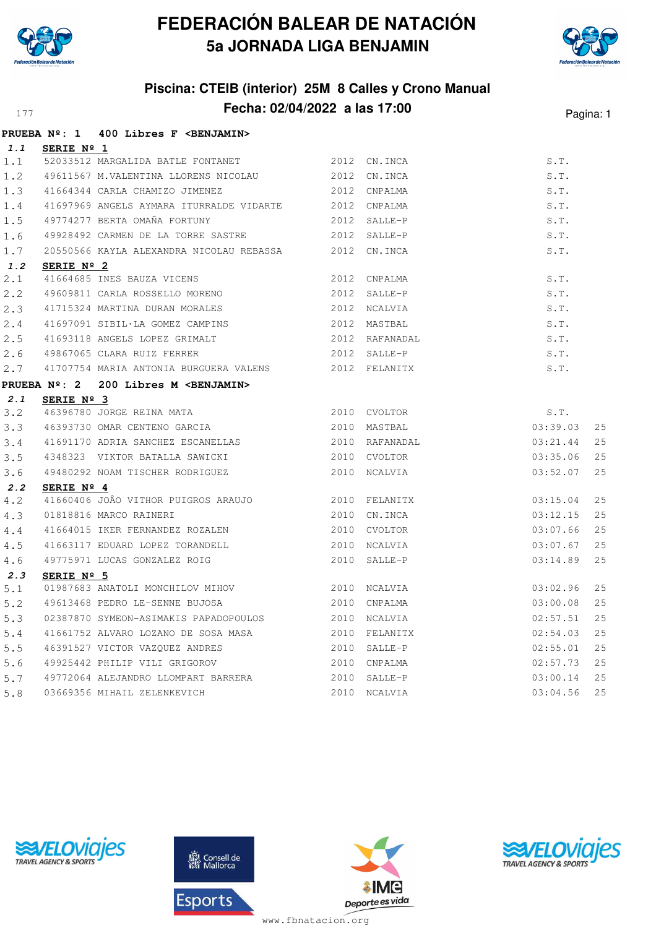



### **Piscina: CTEIB (interior) 25M 8 Calles y Crono Manual Fecha: 02/04/2022 a las 17:00** Pagina: 1

|     |                     | PRUEBA Nº: 1 400 Libres F <benjamin></benjamin>                 |              |                  |          |    |
|-----|---------------------|-----------------------------------------------------------------|--------------|------------------|----------|----|
| 1.1 | SERIE Nº 1          |                                                                 |              |                  |          |    |
| 1.1 |                     | 52033512 MARGALIDA BATLE FONTANET 2012 CN.INCA                  |              |                  | S.T.     |    |
| 1.2 |                     | 49611567 M.VALENTINA LLORENS NICOLAU 2012 CN.INCA               |              |                  | S.T.     |    |
| 1.3 |                     | 2012 CNPALMA<br>41664344 CARLA CHAMIZO JIMENEZ                  |              |                  | S.T.     |    |
| 1.4 |                     | 41697969 ANGELS AYMARA ITURRALDE VIDARTE 2012 CNPALMA           |              |                  | S.T.     |    |
| 1.5 |                     | 49774277 BERTA OMAÑA FORTUNY                                    | 2012 SALLE-P |                  | S.T.     |    |
| 1.6 |                     |                                                                 |              |                  | S.T.     |    |
| 1.7 |                     | 20550566 KAYLA ALEXANDRA NICOLAU REBASSA 2012 CN.INCA           |              |                  | S.T.     |    |
| 1.2 | SERIE Nº 2          |                                                                 |              |                  |          |    |
| 2.1 |                     | 41664685 INES BAUZA VICENS                                      |              | 2012 CNPALMA     | S.T.     |    |
| 2.2 |                     | 49609811 CARLA ROSSELLO MORENO                                  |              | 2012 SALLE-P     | S.T.     |    |
| 2.3 |                     | 41715324 MARTINA DURAN MORALES                                  |              | 2012 NCALVIA     | S.T.     |    |
| 2.4 |                     | 41697091 SIBIL·LA GOMEZ CAMPINS                                 |              | 2012 MASTBAL     | S.T.     |    |
| 2.5 |                     | 41693118 ANGELS LOPEZ GRIMALT                                   |              | 2012 RAFANADAL   | S.T.     |    |
| 2.6 |                     | 49867065 CLARA RUIZ FERRER                                      |              | $2012$ $SALLE-P$ | S.T.     |    |
| 2.7 |                     | 41707754 MARIA ANTONIA BURGUERA VALENS 2012 FELANITX            |              |                  | S.T.     |    |
|     |                     | PRUEBA Nº: 2 200 Libres M <benjamin></benjamin>                 |              |                  |          |    |
| 2.1 | SERIE $N^{\circ}$ 3 |                                                                 |              |                  |          |    |
| 3.2 |                     | 46396780 JORGE REINA MATA                                       | 2010 CVOLTOR |                  | S.T.     |    |
| 3.3 |                     | 46393730 OMAR CENTENO GARCIA 2010 MASTBAL                       |              |                  | 03:39.03 | 25 |
| 3.4 |                     |                                                                 |              |                  | 03:21.44 | 25 |
| 3.5 |                     | 4348323 VIKTOR BATALLA SAWICKI 2010 CVOLTOR                     |              |                  | 03:35.06 | 25 |
| 3.6 |                     | 49480292 NOAM TISCHER RODRIGUEZ 2010 NCALVIA                    |              |                  | 03:52.07 | 25 |
| 2.2 | SERIE $N^{\circ}$ 4 |                                                                 |              |                  |          |    |
| 4.2 |                     | 41660406 JOÂO VITHOR PUIGROS ARAUJO 2010 FELANITX               |              |                  | 03:15.04 | 25 |
| 4.3 |                     | 01818816 MARCO RAINERI                                          |              | 2010 CN.INCA     | 03:12.15 | 25 |
| 4.4 |                     | 41664015 IKER FERNANDEZ ROZALEN                                 |              | 2010 CVOLTOR     | 03:07.66 | 25 |
| 4.5 |                     |                                                                 |              | 2010 NCALVIA     | 03:07.67 | 25 |
| 4.6 |                     | 41663117 EDUARD LOPEZ TORANDELL<br>49775971 LUCAS GONZALEZ ROIG |              | 2010 SALLE-P     | 03:14.89 | 25 |
| 2.3 | SERIE $N^{\circ}$ 5 |                                                                 |              |                  |          |    |
| 5.1 |                     |                                                                 |              |                  | 03:02.96 | 25 |
| 5.2 |                     | 2010 CNPALMA<br>49613468 PEDRO LE-SENNE BUJOSA                  |              |                  | 03:00.08 | 25 |
| 5.3 |                     | 02387870 SYMEON-ASIMAKIS PAPADOPOULOS 2010 NCALVIA              |              |                  | 02:57.51 | 25 |
| 5.4 |                     | 41661752 ALVARO LOZANO DE SOSA MASA 600 2010 FELANITX           |              |                  | 02:54.03 | 25 |
| 5.5 |                     | 46391527 VICTOR VAZQUEZ ANDRES                                  | 2010 SALLE-P |                  | 02:55.01 | 25 |
| 5.6 |                     | 49925442 PHILIP VILI GRIGOROV 2010 CNPALMA                      |              |                  | 02:57.73 | 25 |
| 5.7 |                     | 49772064 ALEJANDRO LLOMPART BARRERA 2010 SALLE-P                |              |                  | 03:00.14 | 25 |
| 5.8 |                     | 03669356 MIHAIL ZELENKEVICH                                     |              | 2010 NCALVIA     | 03:04.56 | 25 |





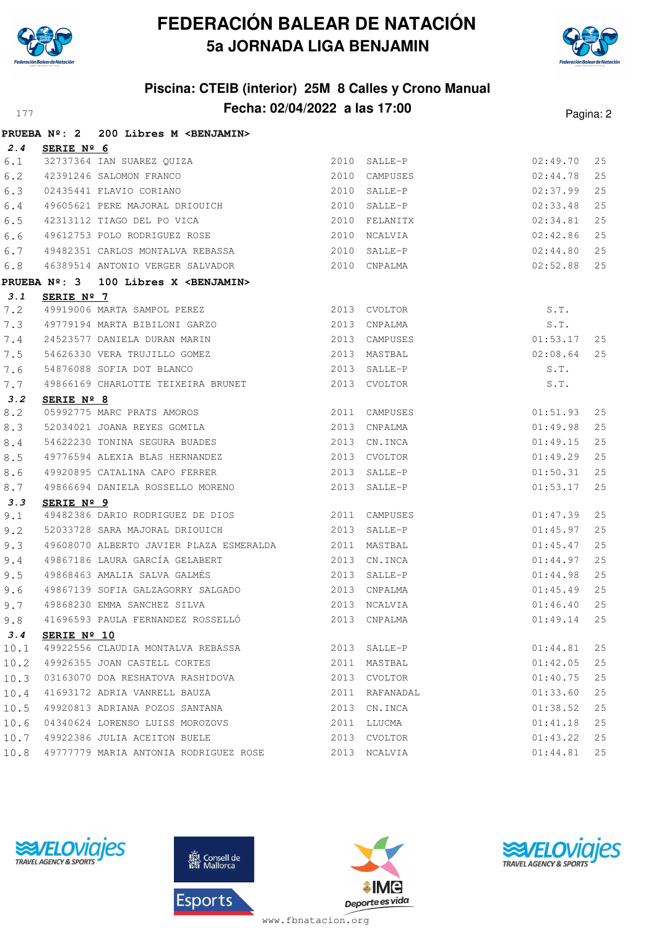



## **Piscina: CTEIB (interior) 25M 8 Calles y Crono Manual Fecha: 02/04/2022 a las 17:00** Pagina: 2

|       |                      | PRUEBA Nº: 2 200 Libres M <benjamin></benjamin>                    |                           |          |    |
|-------|----------------------|--------------------------------------------------------------------|---------------------------|----------|----|
| 2.4   | SERIE Nº 6           |                                                                    |                           |          |    |
| 6.1   |                      |                                                                    | 2010 SALLE-P              | 02:49.70 | 25 |
| $6.2$ |                      | SERIE Nº 0<br>32737364 IAN SUAREZ QUIZA<br>42391246 SALOMON FRANCO | 2010 CAMPUSES             | 02:44.78 | 25 |
| 6.3   |                      | 02435441 FLAVIO CORIANO<br>2010 SALLE-P                            |                           | 02:37.99 | 25 |
| 6.4   |                      | 49605621 PERE MAJORAL DRIOUICH 2010 SALLE-P                        | 02:33.48                  |          | 25 |
| 6.5   |                      | 42313112 TIAGO DEL PO VICA 2010 FELANITX                           |                           | 02:34.81 | 25 |
| 6.6   |                      | 49612753 POLO RODRIGUEZ ROSE                                       | 2010 NCALVIA              | 02:42.86 | 25 |
| 6.7   |                      | 49482351 CARLOS MONTALVA REBASSA 2010 SALLE-P                      | 02:44.80                  |          | 25 |
| 6.8   |                      |                                                                    | 02:52.88                  |          | 25 |
|       |                      | PRUEBA Nº: 3 100 Libres X <benjamin></benjamin>                    |                           |          |    |
| 3.1   | SERIE Nº 7           |                                                                    |                           |          |    |
| 7.2   |                      | 49919006 MARTA SAMPOL PEREZ 2013 CVOLTOR                           |                           | S.T.     |    |
| 7.3   |                      |                                                                    |                           | S.T.     |    |
| 7.4   |                      | 24523577 DANIELA DURAN MARIN 2013 CAMPUSES                         | 01:53.17                  |          | 25 |
| 7.5   |                      | 54626330 VERA TRUJILLO GOMEZ<br>54876088 SOFIA DOT BLANCO          | 2013 MASTBAL              | 02:08.64 | 25 |
| 7.6   |                      |                                                                    | 2013 SALLE-P              | S.T.     |    |
| 7.7   |                      | 49866169 CHARLOTTE TEIXEIRA BRUNET 2013 CVOLTOR                    |                           | S.T.     |    |
| 3.2   | SERIE Nº 8           |                                                                    |                           |          |    |
| 8.2   |                      | 05992775 MARC PRATS AMOROS<br>52034021 JOANA REYES GOMILA          | 2011 CAMPUSES<br>01:51.93 |          | 25 |
| 8.3   |                      |                                                                    | 2013 CNPALMA              | 01:49.98 | 25 |
| 8.4   |                      |                                                                    | 01:49.15                  |          | 25 |
| 8.5   |                      | 49776594 ALEXIA BLAS HERNANDEZ 2013 CVOLTOR                        |                           | 01:49.29 | 25 |
| 8.6   |                      | 49920895 CATALINA CAPO FERRER 2013 SALLE-P                         |                           | 01:50.31 | 25 |
| 8.7   |                      | 49866694 DANIELA ROSSELLO MORENO                                   | 2013 SALLE-P              | 01:53.17 | 25 |
| 3.3   | SERIE Nº 9           |                                                                    |                           |          |    |
| 9.1   |                      | 49482386 DARIO RODRIGUEZ DE DIOS 2011 CAMPUSES                     | 01:47.39                  |          | 25 |
| 9.2   |                      | 52033728 SARA MAJORAL DRIOUICH 2013 SALLE-P                        | 01:45.97                  |          | 25 |
| 9.3   |                      | 49608070 ALBERTO JAVIER PLAZA ESMERALDA 62011 MASTBAL              |                           | 01:45.47 | 25 |
| 9.4   |                      | 49867186 LAURA GARCÍA GELABERT 2013 CN.INCA                        |                           | 01:44.97 | 25 |
| 9.5   |                      | 49868463 AMALIA SALVA GALMÉS (2013 SALLE-P                         |                           | 01:44.98 | 25 |
| 9.6   |                      | 49867139 SOFIA GALZAGORRY SALGADO<br>2013 CNPALMA                  |                           | 01:45.49 | 25 |
| 9.7   |                      | 49868230 EMMA SANCHEZ SILVA (2013 NCALVIA                          |                           | 01:46.40 | 25 |
|       |                      |                                                                    |                           |          |    |
| 3.4   | SERIE $N^{\circ}$ 10 |                                                                    |                           |          |    |
| 10.1  |                      | 49922556 CLAUDIA MONTALVA REBASSA                                  | 2013 SALLE-P              | 01:44.81 | 25 |
| 10.2  |                      | 49926355 JOAN CASTELL CORTES                                       | 2011 MASTBAL              | 01:42.05 | 25 |
| 10.3  |                      | 03163070 DOA RESHATOVA RASHIDOVA                                   | 2013 CVOLTOR              | 01:40.75 | 25 |
| 10.4  |                      | 41693172 ADRIA VANRELL BAUZA                                       | 2011 RAFANADAL            | 01:33.60 | 25 |
| 10.5  |                      | 49920813 ADRIANA POZOS SANTANA                                     | 2013 CN. INCA             | 01:38.52 | 25 |
| 10.6  |                      | 04340624 LORENSO LUISS MOROZOVS                                    | 2011 LLUCMA               | 01:41.18 | 25 |
| 10.7  |                      | 49922386 JULIA ACEITON BUELE                                       | 2013 CVOLTOR              | 01:43.22 | 25 |
| 10.8  |                      | 49777779 MARIA ANTONIA RODRIGUEZ ROSE                              | 2013 NCALVIA              | 01:44.81 | 25 |







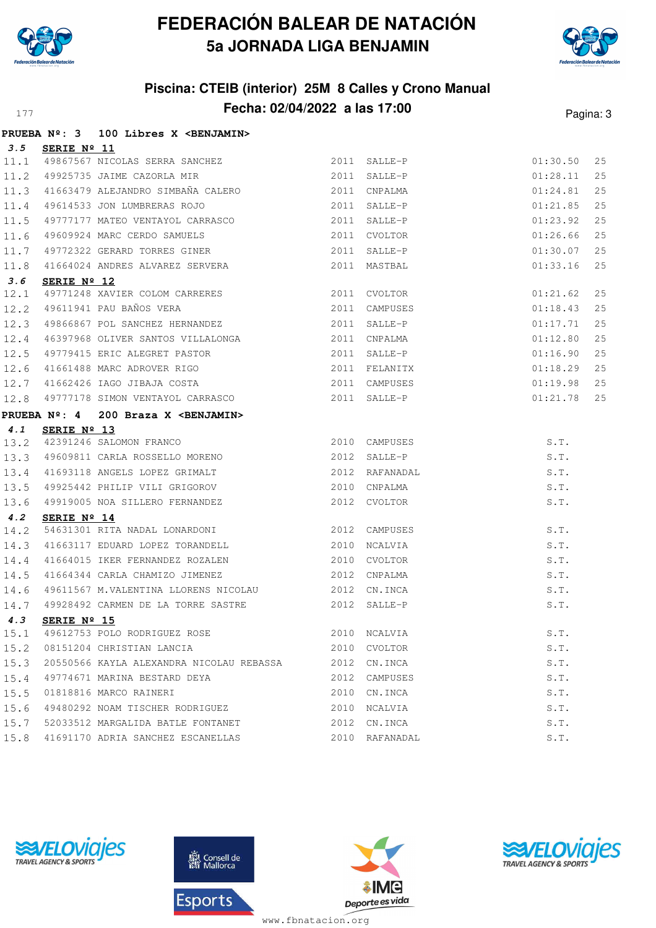



### **Piscina: CTEIB (interior) 25M 8 Calles y Crono Manual Fecha: 02/04/2022 a las 17:00** Pagina: 3

|      |                      | PRUEBA Nº: 3 100 Libres X <benjamin></benjamin>                                                                                                             |                |          |    |
|------|----------------------|-------------------------------------------------------------------------------------------------------------------------------------------------------------|----------------|----------|----|
| 3.5  | SERIE Nº 11          |                                                                                                                                                             |                |          |    |
| 11.1 |                      | 49867567 NICOLAS SERRA SANCHEZ<br>49925735 JAIME CAZORLA MIR 2011 SALLE-P                                                                                   |                | 01:30.50 | 25 |
| 11.2 |                      |                                                                                                                                                             |                | 01:28.11 | 25 |
| 11.3 |                      |                                                                                                                                                             |                | 01:24.81 | 25 |
| 11.4 |                      | 91663479 ALEJANDRO SIMBAÑA CALERO (2011 CNPALMA 2011 SALLE-P<br>19614533 JON LUMBRERAS ROJO (2011 SALLE-P<br>19777177 MATEO VENTAYOL CARRASCO (2011 SALLE-P |                | 01:21.85 | 25 |
| 11.5 |                      |                                                                                                                                                             |                | 01:23.92 | 25 |
| 11.6 |                      | 49609924 MARC CERDO SAMUELS 2011 CVOLTOR                                                                                                                    |                | 01:26.66 | 25 |
| 11.7 |                      |                                                                                                                                                             |                | 01:30.07 | 25 |
| 11.8 |                      | 49772322 GERARD TORRES GINER<br>41664024 ANDRES ALVAREZ SERVERA 2011 MASTBAL                                                                                |                | 01:33.16 | 25 |
| 3.6  | SERIE $N^{\circ}$ 12 |                                                                                                                                                             |                |          |    |
| 12.1 |                      | 49771248 XAVIER COLOM CARRERES<br>49611941 PAU BAÑOS VERA 2011 COMPUSES<br>49866867 POL SANCHEZ HERNANDEZ 2011 SALLE-P                                      |                | 01:21.62 | 25 |
| 12.2 |                      |                                                                                                                                                             |                | 01:18.43 | 25 |
| 12.3 |                      |                                                                                                                                                             |                | 01:17.71 | 25 |
| 12.4 |                      | 46397968 OLIVER SANTOS VILLALONGA 2011 CNPALMA                                                                                                              |                | 01:12.80 | 25 |
| 12.5 |                      | 49779415 ERIC ALEGRET PASTOR 2011 SALLE-P                                                                                                                   |                | 01:16.90 | 25 |
| 12.6 |                      |                                                                                                                                                             |                | 01:18.29 | 25 |
| 12.7 |                      |                                                                                                                                                             |                | 01:19.98 | 25 |
| 12.8 |                      | 41661488 MARC ADROVER RIGO<br>41662426 IAGO JIBAJA COSTA 2011 CAMPUSES<br>49777178 SIMON VENTAYOL CARRASCO 2011 SALLE-P                                     |                | 01:21.78 | 25 |
|      |                      | PRUEBA Nº: 4 200 Braza X <benjamin></benjamin>                                                                                                              |                |          |    |
| 4.1  |                      |                                                                                                                                                             |                |          |    |
| 13.2 |                      |                                                                                                                                                             |                | S.T.     |    |
| 13.3 |                      | <b>SERIE Nº 13</b><br>42391246 SALOMON FRANCO<br>49609811 CARLA ROSSELLO MORENO 1980 2012 SALLE-P                                                           |                | S.T.     |    |
| 13.4 |                      | 42391246 SALOMON FRANCO<br>49609811 CARLA ROSSELLO MORENO<br>41693118 ANGELS LOPEZ GRIMALT<br>10000110 -                                                    |                | S.T.     |    |
| 13.5 |                      | 49925442 PHILIP VILI GRIGOROV 2010 CNPALMA                                                                                                                  |                | S.T.     |    |
| 13.6 |                      | 49919005 NOA SILLERO FERNANDEZ 2012 CVOLTOR                                                                                                                 |                | S.T.     |    |
| 4.2  | SERIE Nº 14          |                                                                                                                                                             |                |          |    |
| 14.2 |                      | 54631301 RITA NADAL LONARDONI 2012 CAMPUSES                                                                                                                 |                | S.T.     |    |
| 14.3 |                      | 41663117 EDUARD LOPEZ TORANDELL 2010 NCALVIA                                                                                                                |                | S.T.     |    |
| 14.4 |                      | 41664015 IKER FERNANDEZ ROZALEN 2010 CVOLTOR                                                                                                                |                | S.T.     |    |
| 14.5 |                      | 41664344 CARLA CHAMIZO JIMENEZ                                                                                                                              | 2012 CNPALMA   | S.T.     |    |
| 14.6 |                      | 49611567 M.VALENTINA LLORENS NICOLAU 2012 CN.INCA                                                                                                           |                | S.T.     |    |
| 14.7 |                      |                                                                                                                                                             |                | S.T.     |    |
| 4.3  |                      | SERIE $N^{\circ}$ 15                                                                                                                                        |                |          |    |
|      |                      | 15.1 49612753 POLO RODRIGUEZ ROSE                                                                                                                           | 2010 NCALVIA   | S.T.     |    |
|      |                      | 15.2 08151204 CHRISTIAN LANCIA                                                                                                                              | 2010 CVOLTOR   | S.T.     |    |
| 15.3 |                      | 20550566 KAYLA ALEXANDRA NICOLAU REBASSA 2012 CN.INCA                                                                                                       |                | S.T.     |    |
| 15.4 |                      | 49774671 MARINA BESTARD DEYA                                                                                                                                | 2012 CAMPUSES  | S.T.     |    |
| 15.5 |                      | 01818816 MARCO RAINERI                                                                                                                                      | 2010 CN.INCA   | S.T.     |    |
| 15.6 |                      | 49480292 NOAM TISCHER RODRIGUEZ                                                                                                                             | 2010 NCALVIA   | S.T.     |    |
| 15.7 |                      | 52033512 MARGALIDA BATLE FONTANET 2012 CN.INCA                                                                                                              |                | S.T.     |    |
| 15.8 |                      | 41691170 ADRIA SANCHEZ ESCANELLAS                                                                                                                           | 2010 RAFANADAL | S.T.     |    |







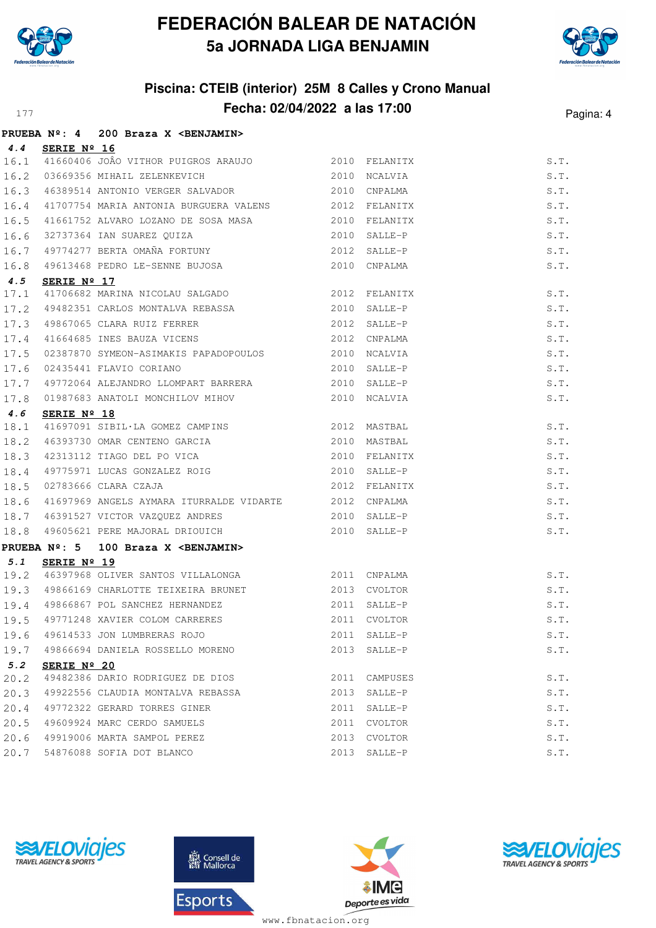



### **Piscina: CTEIB (interior) 25M 8 Calles y Crono Manual Fecha: 02/04/2022 a las 17:00** Pagina: 4

|             |                      | PRUEBA Nº: 4 200 Braza X < BENJAMIN>                                                                                                                                                                                                                                    |      |               |      |
|-------------|----------------------|-------------------------------------------------------------------------------------------------------------------------------------------------------------------------------------------------------------------------------------------------------------------------|------|---------------|------|
| 4.4         | SERIE Nº 16          |                                                                                                                                                                                                                                                                         |      |               |      |
|             |                      | 16.1 41660406 JOÂO VITHOR PUIGROS ARAUJO 2010 FELANITX                                                                                                                                                                                                                  |      |               | S.T. |
| 16.2        |                      | 03669356 MIHAIL ZELENKEVICH CONTROL 2010 NCALVIA                                                                                                                                                                                                                        |      |               | S.T. |
|             |                      | 16.3 46389514 ANTONIO VERGER SALVADOR 2010 CNPALMA                                                                                                                                                                                                                      |      |               | S.T. |
|             |                      | 16.4 41707754 MARIA ANTONIA BURGUERA VALENS 2012 FELANITX                                                                                                                                                                                                               |      |               | S.T. |
| 16.5        |                      | 41661752 ALVARO LOZANO DE SOSA MASA 62010 FELANITX                                                                                                                                                                                                                      |      |               | S.T. |
| 16.6        |                      |                                                                                                                                                                                                                                                                         |      |               | S.T. |
| 16.7        |                      |                                                                                                                                                                                                                                                                         |      |               | S.T. |
| 16.8        |                      |                                                                                                                                                                                                                                                                         |      |               | S.T. |
| 4.5         | SERIE $N^{\circ}$ 17 |                                                                                                                                                                                                                                                                         |      |               |      |
| 17.1        |                      | 41706682 MARINA NICOLAU SALGADO (2012 FELANITX                                                                                                                                                                                                                          |      |               | S.T. |
|             |                      | 17.2 49482351 CARLOS MONTALVA REBASSA 2010                                                                                                                                                                                                                              |      | SALLE-P       | S.T. |
|             |                      | 17.3 19867065 CLARA RUIZ FERRER 2012 SALLE-P<br>17.4 11664685 INES BAUZA VICENS 2012 CNPALMA<br>17.5 02387870 SYMEON-ASIMAKIS PAPADOPOULOS 2010 NCALVIA                                                                                                                 |      |               | S.T. |
|             |                      |                                                                                                                                                                                                                                                                         |      |               | S.T. |
|             |                      |                                                                                                                                                                                                                                                                         |      |               | S.T. |
| 17.6        |                      | 02435441 FLAVIO CORIANO                                                                                                                                                                                                                                                 | 2010 | SALLE-P       | S.T. |
|             |                      | $\begin{array}{cccc} \texttt{17.7} & \texttt{49772064} & \texttt{ALEJANDRO LLOMPART BARRERA} & \texttt{2010} & \texttt{SALLE-P} \\ \texttt{17.8} & \texttt{01987683} & \texttt{ANATOLI MONCHILOV MIHOV} & \texttt{010} & \texttt{02010} & \texttt{NCALVIA} \end{array}$ |      |               | S.T. |
|             |                      |                                                                                                                                                                                                                                                                         |      |               | S.T. |
| 4.6         | SERIE Nº 18          |                                                                                                                                                                                                                                                                         |      |               |      |
| 18.1        |                      | 41697091 SIBIL·LA GOMEZ CAMPINS 2012 MASTBAL                                                                                                                                                                                                                            |      |               | S.T. |
|             |                      | 18.2 46393730 OMAR CENTENO GARCIA 2010 MASTBAL<br>18.3 42313112 TIAGO DEL PO VICA 2010 FELANITX<br>18.4 49775971 LUCAS GONZALEZ ROIG 2010 SALLE-P<br>18.5 02783666 CLARA CZAJA 2012 FELANITX                                                                            |      |               | S.T. |
|             |                      |                                                                                                                                                                                                                                                                         |      |               | S.T. |
|             |                      |                                                                                                                                                                                                                                                                         |      |               | S.T. |
|             |                      |                                                                                                                                                                                                                                                                         |      |               | S.T. |
| 18.6        |                      | 41697969 ANGELS AYMARA ITURRALDE VIDARTE 2012 CNPALMA                                                                                                                                                                                                                   |      |               | S.T. |
|             |                      |                                                                                                                                                                                                                                                                         |      |               | S.T. |
|             |                      | 18.7 46391527 VICTOR VAZQUEZ ANDRES<br>18.8 49605621 PERE MAJORAL DRIOUICH 2010 SALLE-P                                                                                                                                                                                 |      |               | S.T. |
|             |                      | PRUEBA Nº: 5 100 Braza X <benjamin></benjamin>                                                                                                                                                                                                                          |      |               |      |
| 5.1         | SERIE Nº 19          | 19.2 46397968 OLIVER SANTOS VILLALONGA 2011 CNPALMA                                                                                                                                                                                                                     |      |               |      |
|             |                      |                                                                                                                                                                                                                                                                         |      |               | S.T. |
|             |                      | 19.3 49866169 CHARLOTTE TEIXEIRA BRUNET 2013 CVOLTOR                                                                                                                                                                                                                    |      |               | S.T. |
|             |                      | 19.4 49866867 POL SANCHEZ HERNANDEZ 2011 SALLE-P<br>19.4 49866867 POL SANCHEZ HERNANDEZ 2011 SALLE-P S.T.<br>19.5 49771248 XAVIER COLOM CARRERES 2011 CVOLTOR S.T.                                                                                                      |      |               |      |
|             |                      |                                                                                                                                                                                                                                                                         |      |               |      |
|             |                      | 19.6 49614533 JON LUMBRERAS ROJO                                                                                                                                                                                                                                        |      | 2011 SALLE-P  | S.T. |
|             |                      | 19.7 49866694 DANIELA ROSSELLO MORENO                                                                                                                                                                                                                                   |      | 2013 SALLE-P  | S.T. |
| 5.2<br>20.2 | SERIE $N^{\circ}$ 20 | 49482386 DARIO RODRIGUEZ DE DIOS                                                                                                                                                                                                                                        |      | 2011 CAMPUSES | S.T. |
| 20.3        |                      | 49922556 CLAUDIA MONTALVA REBASSA                                                                                                                                                                                                                                       | 2013 | SALLE-P       | S.T. |
| 20.4        |                      | 49772322 GERARD TORRES GINER                                                                                                                                                                                                                                            | 2011 | SALLE-P       | S.T. |
| 20.5        |                      | 49609924 MARC CERDO SAMUELS                                                                                                                                                                                                                                             |      | 2011 CVOLTOR  | S.T. |
|             |                      | 20.6 49919006 MARTA SAMPOL PEREZ                                                                                                                                                                                                                                        |      | 2013 CVOLTOR  | S.T. |
|             |                      | 20.7 54876088 SOFIA DOT BLANCO                                                                                                                                                                                                                                          |      | 2013 SALLE-P  | S.T. |
|             |                      |                                                                                                                                                                                                                                                                         |      |               |      |